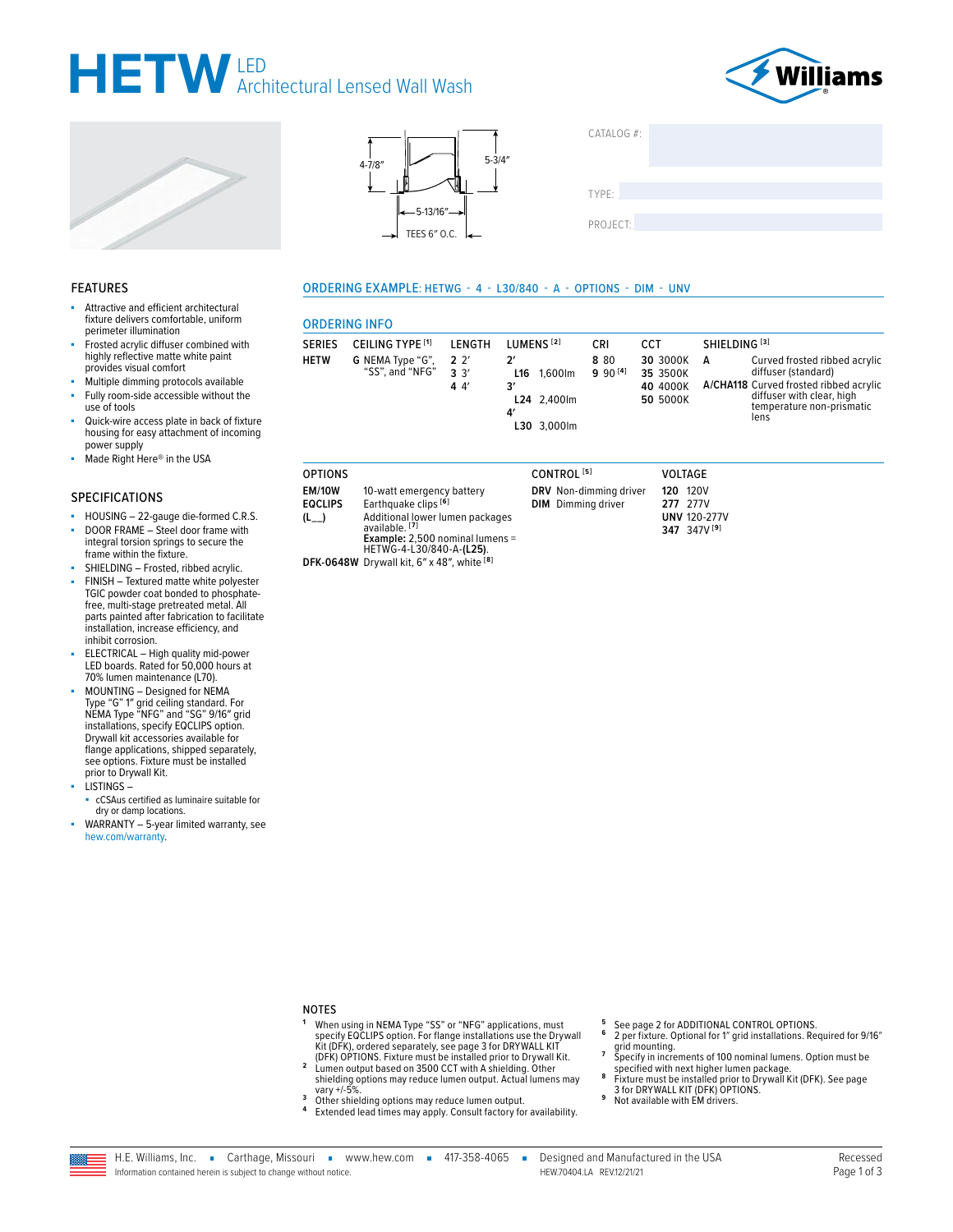### HETW Architectural Lensed Wall Wash







| CATALOG #: |  |  |
|------------|--|--|
| TYPE:      |  |  |
| PROJECT:   |  |  |

### **FEATURES**

- Attractive and efficient architectural fixture delivers comfortable, uniform perimeter illumination
- Frosted acrylic diffuser combined with highly reflective matte white paint provides visual comfort
- Multiple dimming protocols available Fully room-side accessible without the ×
- use of tools
- Quick-wire access plate in back of fixture housing for easy attachment of incoming power supply
- Made Right Here® in the USA

### **SPECIFICATIONS**

- HOUSING 22-gauge die-formed C.R.S.
- DOOR FRAME Steel door frame with integral torsion springs to secure the frame within the fixture.
- SHIELDING Frosted, ribbed acrylic.
- FINISH Textured matte white polyester TGIC powder coat bonded to phosphate-<br>free, multi-stage pretreated metal. All<br>parts painted after fabrication to facilitate installation, increase efficiency, and inhibit corrosion.
- ELECTRICAL High quality mid-power LED boards. Rated for 50,000 hours at 70% lumen maintenance (L70).
- MOUNTING Designed for NEMA MOONTING - Designed for NEMA<br>Type "G" 1" grid ceiling standard. For<br>NEMA Type "NFG" and "SG" 9/16" grid installations, specify EQCLIPS option. Drywall kit accessories available for flange applications, shipped separately, see options. Fixture must be installed prior to Drywall Kit.

**LISTINGS-**

- cCSAus certified as luminaire suitable for dry or damp locations.
- WARRANTY 5-year limited warranty, see hew.com/warranty

### ORDERING EXAMPLE: HETWG - 4 - L30/840 - A - OPTIONS - DIM - UNV

### **ORDERING INFO**

| <b>SERIES</b><br><b>HETW</b> | CEILING TYPE <sup>[1]</sup><br>G NEMA Type "G",<br>"SS", and "NFG" | LENGTH<br>2 <sup>2</sup><br>3'3'<br>44' | LUMENS <sup>[2]</sup><br>2'<br>1.600lm<br>L16<br>3′<br>L24 2.400lm<br>4'<br>L30 3,000lm | CRI<br>880<br>$990^{[4]}$ | CCT<br>30 3000K<br>35 3500K<br>40 4000K<br>50 5000K | SHIELDING <sup>[3]</sup><br>Curved frosted ribbed acrylic<br>А<br>diffuser (standard)<br>A/CHA118 Curved frosted ribbed acrylic<br>diffuser with clear, high<br>temperature non-prismatic<br>lens |
|------------------------------|--------------------------------------------------------------------|-----------------------------------------|-----------------------------------------------------------------------------------------|---------------------------|-----------------------------------------------------|---------------------------------------------------------------------------------------------------------------------------------------------------------------------------------------------------|

#### **OPTIONS EM/10W** 10-watt emergency battery Earthquake clips [6] **EQCLIPS**  $(L)$

- Additional lower lumen packages<br>available.<sup>[7]</sup><br>**Example:** 2,500 nominal lumens = HETWG-4-L30/840-A-(L25). DFK-0648W Drywall kit, 6" x 48", white [8]
- CONTROL<sup>[5]</sup> DRV Non-dimming driver **DIM** Dimming driver

#### **VOLTAGE 120 120V** 277 277V **UNV 120-277V** 347 347V [9]

- **NOTES**
- -<br>- When using in NEMA Type "SS" or "NFG" applications, must<br>- specify EQCLIPS option. For flange installations use the Drywall Specify Contract 3 operately, see page 3 for DRYWALL KIT<br>Kit (DFK), ordered separately, see page 3 for DRYWALL KIT<br>(DFK) OPTIONS. Fixture must be installed prior to Drywall Kit.<br>Lumen output based on 3500 CCT with A shield
- $\overline{2}$
- shielding options may reduce turner output. Actual lumens may<br>vary +/-5%.  $\overline{\mathbf{3}}$ Other shielding options may reduce lumen output.
- 4 Extended lead times may apply. Consult factory for availability.
- See page 2 for ADDITIONAL CONTROL OPTIONS. 6
- 2 per fixture. Optional for 1" grid installations. Required for 9/16" grid mounting.<br>Specify in increments of 100 nominal lumens. Option must be<br>Specify in increments of 100 nominal lumens. Option must be
- Specified with next higher lumen package.<br>Fixture must be installed prior to Drywall Kit (DFK). See page<br>Trixture must be installed prior to Drywall Kit (DFK). See page<br>3 for DRYWALL KIT (DFK) OPTIONS. 8
- $\mathbf{g}$
- Not available with EM drivers.

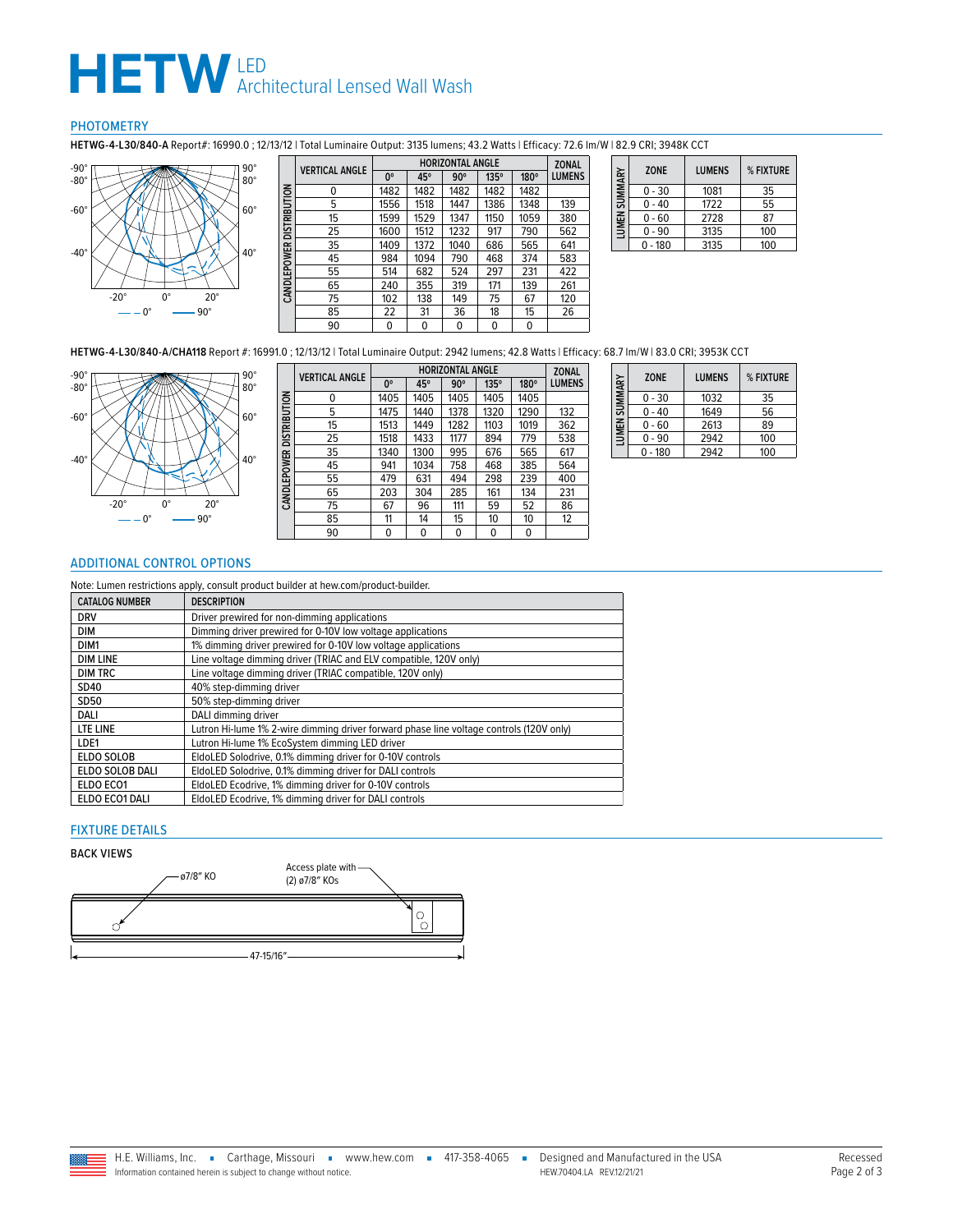## $H E T W$  LED<br>Architectural Lensed Wall Wash

### PHOTOMETRY

**HETWG-4-L30/840-A** Report#: 16990.0 ; 12/13/12 | Total Luminaire Output: 3135 lumens; 43.2 Watts | Efficacy: 72.6 lm/W | 82.9 CRI; 3948K CCT



|                     | <b>VERTICAL ANGLE</b> |             |      | <b>HORIZONTAL ANGLE</b> |      |      | <b>ZONAL</b> |
|---------------------|-----------------------|-------------|------|-------------------------|------|------|--------------|
|                     |                       | $0^{\circ}$ | 45°  | $90^\circ$              | 135° | 180° | LUMENS       |
|                     | 0                     | 1482        | 1482 | 1482                    | 1482 | 1482 |              |
|                     | 5                     | 1556        | 1518 | 1447                    | 1386 | 1348 | 139          |
| <b>DISTRIBUTION</b> | 15                    | 1599        | 1529 | 1347                    | 1150 | 1059 | 380          |
|                     | 25                    | 1600        | 1512 | 1232                    | 917  | 790  | 562          |
|                     | 35                    | 1409        | 1372 | 1040                    | 686  | 565  | 641          |
|                     | 45                    | 984         | 1094 | 790                     | 468  | 374  | 583          |
| CANDLEPOWER         | 55                    | 514         | 682  | 524                     | 297  | 231  | 422          |
|                     | 65                    | 240         | 355  | 319                     | 171  | 139  | 261          |
|                     | 75                    | 102         | 138  | 149                     | 75   | 67   | 120          |
|                     | 85                    | 22          | 31   | 36                      | 18   | 15   | 26           |
|                     | 90                    | 0           | 0    | 0                       | 0    | 0    |              |

| SUMMARY | <b>ZONE</b> | <b>LUMENS</b> | % FIXTURE |
|---------|-------------|---------------|-----------|
|         | $0 - 30$    | 1081          | 35        |
|         | $0 - 40$    | 1722          | 55        |
|         | $0 - 60$    | 2728          | 87        |
| LUMEN   | $0 - 90$    | 3135          | 100       |
|         | $0 - 180$   | 3135          | 100       |

**HETWG-4-L30/840-A/CHA118** Report #: 16991.0 ; 12/13/12 | Total Luminaire Output: 2942 lumens; 42.8 Watts | Efficacy: 68.7 lm/W | 83.0 CRI; 3953K CCT



|              | <b>VERTICAL ANGLE</b> |             |      | <b>HORIZONTAL ANGLE</b> |             |      | <b>ZONAL</b>  |
|--------------|-----------------------|-------------|------|-------------------------|-------------|------|---------------|
|              |                       | $0^{\circ}$ | 45°  | $90^\circ$              | $135^\circ$ | 180° | <b>LUMENS</b> |
|              | 0                     | 1405        | 1405 | 1405                    | 1405        | 1405 |               |
|              | 5                     | 1475        | 1440 | 1378                    | 1320        | 1290 | 132           |
| DISTRIBUTION | 15                    | 1513        | 1449 | 1282                    | 1103        | 1019 | 362           |
|              | 25                    | 1518        | 1433 | 1177                    | 894         | 779  | 538           |
|              | 35                    | 1340        | 1300 | 995                     | 676         | 565  | 617           |
|              | 45                    | 941         | 1034 | 758                     | 468         | 385  | 564           |
|              | 55                    | 479         | 631  | 494                     | 298         | 239  | 400           |
| CANDLEPOWER  | 65                    | 203         | 304  | 285                     | 161         | 134  | 231           |
|              | 75                    | 67          | 96   | 111                     | 59          | 52   | 86            |
|              | 85                    | 11          | 14   | 15                      | 10          | 10   | 12            |
|              | 90                    | $\Omega$    | 0    | $\Omega$                | 0           | 0    |               |

| LUMEN SUMMARY | <b>ZONE</b> | <b>LUMENS</b> | % FIXTURE |
|---------------|-------------|---------------|-----------|
|               | $0 - 30$    | 1032          | 35        |
|               | $0 - 40$    | 1649          | 56        |
|               | $0 - 60$    | 2613          | 89        |
|               | $0 - 90$    | 2942          | 100       |
|               | $0 - 180$   | 2942          | 100       |

### <span id="page-1-0"></span>ADDITIONAL CONTROL OPTIONS

Note: Lumen restrictions apply, consult product builder at hew.com/product-builder. **CATALOG NUMBER DESCRIPTION**<br>DRV Driver prewir DRV Driver prewired for non-dimming applications<br>DIM Dimming driver prewired for 0-10V low voltage DIM Dimming driver prewired for 0-10V low voltage applications<br>DIM1 1% dimming driver prewired for 0-10V low voltage applications DIM1 1% dimming driver prewired for 0-10V low voltage applications<br>
DIM LINE Line voltage dimming driver (TRIAC and ELV compatible, 120V Line voltage dimming driver (TRIAC and ELV compatible, 120V only) DIM TRC Line voltage dimming driver (TRIAC compatible, 120V only)<br>SD40 40% step-dimming driver 40% step-dimming driver SD50 50% step-dimming driver<br>DALI DALI dimming driver DALI dimming driver LTE LINE<br>
Lutron Hi-lume 1% 2-wire dimming driver forward phase line voltage controls (120V only)<br>
Lutron Hi-lume 1% EcoSystem dimming LED driver LDE1 Lutron Hi-lume 1% EcoSystem dimming LED driver<br>ELDO SOLOB EldoLED Solodrive. 0.1% dimming driver for 0-10V EldoLED Solodrive, 0.1% dimming driver for 0-10V controls ELDO SOLOB DALI EldoLED Solodrive, 0.1% dimming driver for DALI controls<br>ELDO ECO1 EldoLED Ecodrive, 1% dimming driver for 0-10V controls ELDO ECO1 EldoLED Ecodrive, 1% dimming driver for 0-10V controls<br>
ELDO ECO1 DALI EldoLED Ecodrive, 1% dimming driver for DALI controls EldoLED Ecodrive, 1% dimming driver for DALI controls

### FIXTURE DETAILS